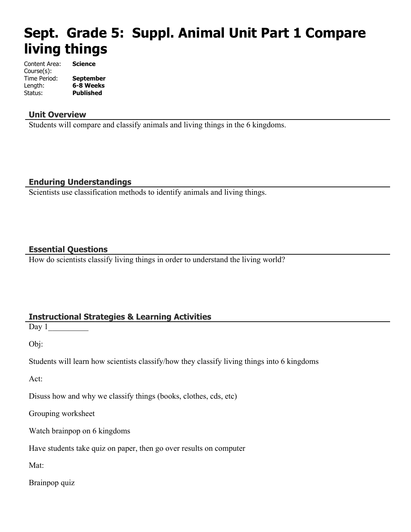# **Sept. Grade 5: Suppl. Animal Unit Part 1 Compare living things**

| Content Area: | <b>Science</b>   |
|---------------|------------------|
| Course(s):    |                  |
| Time Period:  | <b>September</b> |
| Length:       | 6-8 Weeks        |
| Status:       | <b>Published</b> |

#### **Unit Overview**

Students will compare and classify animals and living things in the 6 kingdoms.

#### **Enduring Understandings**

Scientists use classification methods to identify animals and living things.

#### **Essential Questions**

How do scientists classify living things in order to understand the living world?

## **Instructional Strategies & Learning Activities**

Day  $1$ 

Obj:

Students will learn how scientists classify/how they classify living things into 6 kingdoms

Act:

Disuss how and why we classify things (books, clothes, cds, etc)

Grouping worksheet

Watch brainpop on 6 kingdoms

Have students take quiz on paper, then go over results on computer

Mat:

Brainpop quiz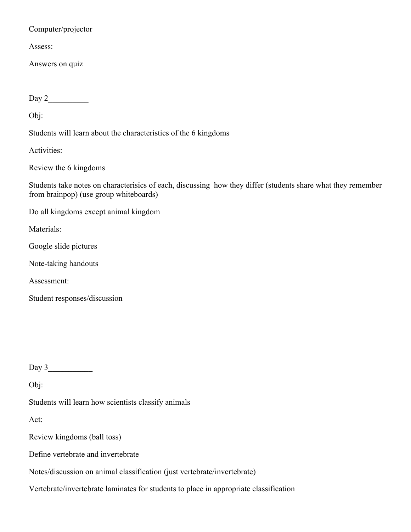#### Computer/projector

Assess:

Answers on quiz

Day 2\_\_\_\_\_\_\_\_\_\_

Obj:

Students will learn about the characteristics of the 6 kingdoms

Activities:

Review the 6 kingdoms

Students take notes on characterisics of each, discussing how they differ (students share what they remember from brainpop) (use group whiteboards)

Do all kingdoms except animal kingdom

Materials:

Google slide pictures

Note-taking handouts

Assessment:

Student responses/discussion

Day  $3$ 

Obj:

Students will learn how scientists classify animals

Act:

Review kingdoms (ball toss)

Define vertebrate and invertebrate

Notes/discussion on animal classification (just vertebrate/invertebrate)

Vertebrate/invertebrate laminates for students to place in appropriate classification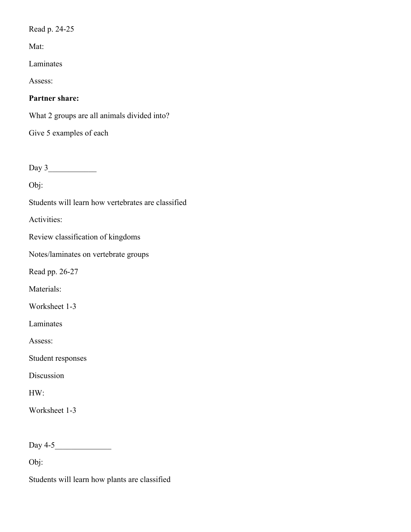Read p. 24-25

Mat:

Laminates

Assess:

## **Partner share:**

What 2 groups are all animals divided into?

Give 5 examples of each

Day 3\_\_\_\_\_\_\_\_\_\_\_\_

Obj:

Students will learn how vertebrates are classified

Activities:

Review classification of kingdoms

Notes/laminates on vertebrate groups

Read pp. 26-27

Materials:

Worksheet 1-3

Laminates

Assess:

Student responses

Discussion

HW:

Worksheet 1-3

Day 4-5\_\_\_\_\_\_\_\_\_\_\_\_\_\_

Obj:

Students will learn how plants are classified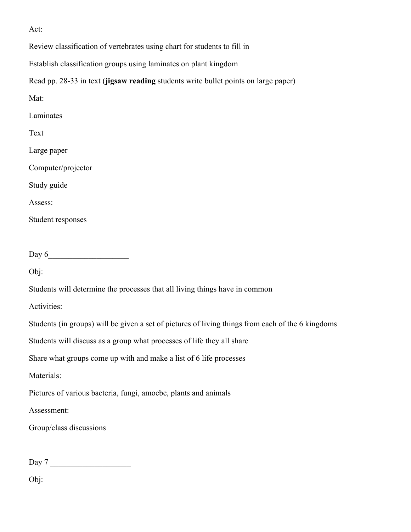Act:

Review classification of vertebrates using chart for students to fill in

Establish classification groups using laminates on plant kingdom

Read pp. 28-33 in text (**jigsaw reading** students write bullet points on large paper)

| Mat:                                                                                              |  |
|---------------------------------------------------------------------------------------------------|--|
| Laminates                                                                                         |  |
| Text                                                                                              |  |
| Large paper                                                                                       |  |
| Computer/projector                                                                                |  |
| Study guide                                                                                       |  |
| Assess:                                                                                           |  |
| Student responses                                                                                 |  |
|                                                                                                   |  |
| Day $6$                                                                                           |  |
| Obj:                                                                                              |  |
| Students will determine the processes that all living things have in common                       |  |
| Activities:                                                                                       |  |
| Students (in groups) will be given a set of pictures of living things from each of the 6 kingdoms |  |
| Students will discuss as a group what processes of life they all share                            |  |
| Share what groups come up with and make a list of 6 life processes                                |  |
| Materials:                                                                                        |  |
| Pictures of various bacteria, fungi, amoebe, plants and animals                                   |  |
| Assessment:                                                                                       |  |
| Group/class discussions                                                                           |  |
|                                                                                                   |  |

Day 7

Obj: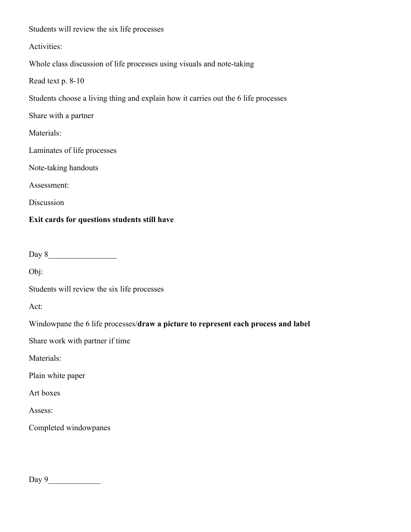Students will review the six life processes

Activities:

Whole class discussion of life processes using visuals and note-taking

Read text p. 8-10

Students choose a living thing and explain how it carries out the 6 life processes

Share with a partner

Materials:

Laminates of life processes

Note-taking handouts

Assessment:

Discussion

#### **Exit cards for questions students still have**

Day 8\_\_\_\_\_\_\_\_\_\_\_\_\_\_\_\_\_

Obj:

Students will review the six life processes

Act:

Windowpane the 6 life processes/**draw a picture to represent each process and label**

Share work with partner if time

Materials:

Plain white paper

Art boxes

Assess:

Completed windowpanes

Day 9\_\_\_\_\_\_\_\_\_\_\_\_\_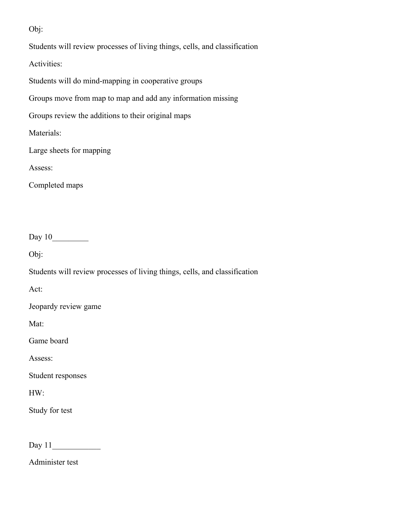Obj:

Students will review processes of living things, cells, and classification

Activities:

Students will do mind-mapping in cooperative groups

Groups move from map to map and add any information missing

Groups review the additions to their original maps

Materials:

Large sheets for mapping

Assess:

Completed maps

Day 10\_\_\_\_\_\_\_\_\_

Obj:

Students will review processes of living things, cells, and classification

Act:

Jeopardy review game

Mat:

Game board

Assess:

Student responses

HW:

Study for test

Day 11\_\_\_\_\_\_\_\_\_\_\_\_

Administer test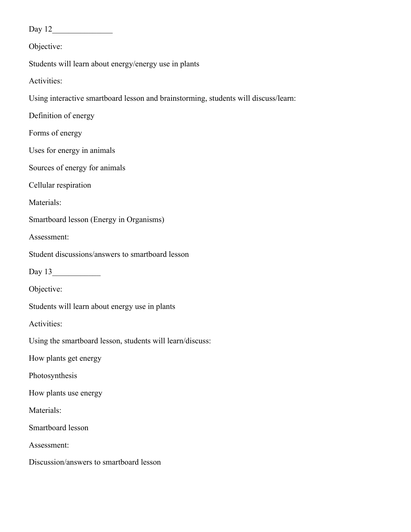Day 12\_\_\_\_\_\_\_\_\_\_\_\_\_\_\_

Objective:

Students will learn about energy/energy use in plants

Activities:

Using interactive smartboard lesson and brainstorming, students will discuss/learn:

Definition of energy

Forms of energy

Uses for energy in animals

Sources of energy for animals

Cellular respiration

Materials:

Smartboard lesson (Energy in Organisms)

Assessment:

Student discussions/answers to smartboard lesson

Day 13\_\_\_\_\_\_\_\_\_\_\_\_

Objective:

Students will learn about energy use in plants

Activities:

Using the smartboard lesson, students will learn/discuss:

How plants get energy

Photosynthesis

How plants use energy

Materials:

Smartboard lesson

Assessment:

Discussion/answers to smartboard lesson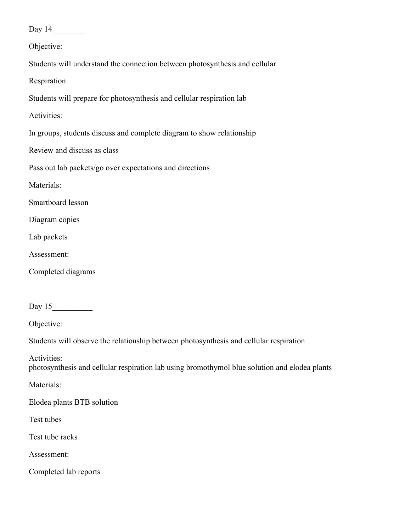Day 14\_\_\_\_\_\_\_\_

Objective:

Students will understand the connection between photosynthesis and cellular

Respiration

Students will prepare for photosynthesis and cellular respiration lab

Activities:

In groups, students discuss and complete diagram to show relationship

Review and discuss as class

Pass out lab packets/go over expectations and directions

Materials:

Smartboard lesson

Diagram copies

Lab packets

Assessment:

Completed diagrams

Day 15\_\_\_\_\_\_\_\_\_\_

Objective:

Students will observe the relationship between photosynthesis and cellular respiration

Activities: photosynthesis and cellular respiration lab using bromothymol blue solution and elodea plants

Materials:

Elodea plants BTB solution

Test tubes

Test tube racks

Assessment:

Completed lab reports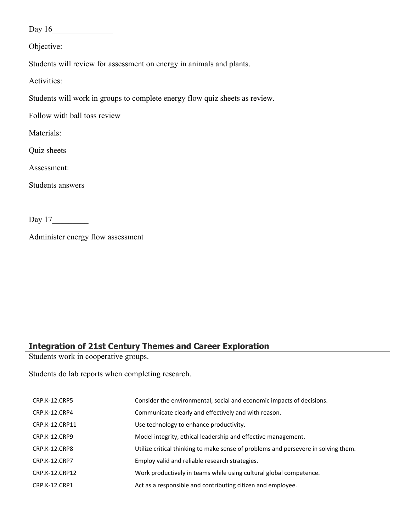Day 16\_\_\_\_\_\_\_\_\_\_\_\_\_\_\_

Objective:

Students will review for assessment on energy in animals and plants.

Activities:

Students will work in groups to complete energy flow quiz sheets as review.

Follow with ball toss review

Materials:

Quiz sheets

Assessment:

Students answers

Day 17

Administer energy flow assessment

# **Integration of 21st Century Themes and Career Exploration**

Students work in cooperative groups.

Students do lab reports when completing research.

| CRP.K-12.CRP5        | Consider the environmental, social and economic impacts of decisions.              |
|----------------------|------------------------------------------------------------------------------------|
| CRP.K-12.CRP4        | Communicate clearly and effectively and with reason.                               |
| CRP.K-12.CRP11       | Use technology to enhance productivity.                                            |
| CRP.K-12.CRP9        | Model integrity, ethical leadership and effective management.                      |
| CRP.K-12.CRP8        | Utilize critical thinking to make sense of problems and persevere in solving them. |
| <b>CRP.K-12.CRP7</b> | Employ valid and reliable research strategies.                                     |
| CRP.K-12.CRP12       | Work productively in teams while using cultural global competence.                 |
| CRP.K-12.CRP1        | Act as a responsible and contributing citizen and employee.                        |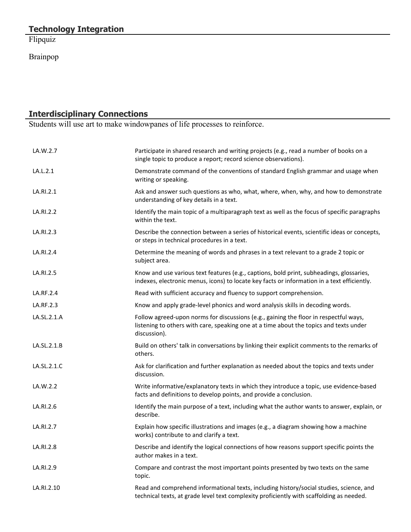Flipquiz

Brainpop

#### **Interdisciplinary Connections**

Students will use art to make windowpanes of life processes to reinforce.

| LA.W.2.7    | Participate in shared research and writing projects (e.g., read a number of books on a<br>single topic to produce a report; record science observations).                                       |
|-------------|-------------------------------------------------------------------------------------------------------------------------------------------------------------------------------------------------|
| LA.L.2.1    | Demonstrate command of the conventions of standard English grammar and usage when<br>writing or speaking.                                                                                       |
| LA.RI.2.1   | Ask and answer such questions as who, what, where, when, why, and how to demonstrate<br>understanding of key details in a text.                                                                 |
| LA.RI.2.2   | Identify the main topic of a multiparagraph text as well as the focus of specific paragraphs<br>within the text.                                                                                |
| LA.RI.2.3   | Describe the connection between a series of historical events, scientific ideas or concepts,<br>or steps in technical procedures in a text.                                                     |
| LA.RI.2.4   | Determine the meaning of words and phrases in a text relevant to a grade 2 topic or<br>subject area.                                                                                            |
| LA.RI.2.5   | Know and use various text features (e.g., captions, bold print, subheadings, glossaries,<br>indexes, electronic menus, icons) to locate key facts or information in a text efficiently.         |
| LA.RF.2.4   | Read with sufficient accuracy and fluency to support comprehension.                                                                                                                             |
| LA.RF.2.3   | Know and apply grade-level phonics and word analysis skills in decoding words.                                                                                                                  |
| LA.SL.2.1.A | Follow agreed-upon norms for discussions (e.g., gaining the floor in respectful ways,<br>listening to others with care, speaking one at a time about the topics and texts under<br>discussion). |
| LA.SL.2.1.B | Build on others' talk in conversations by linking their explicit comments to the remarks of<br>others.                                                                                          |
| LA.SL.2.1.C | Ask for clarification and further explanation as needed about the topics and texts under<br>discussion.                                                                                         |
| LA.W.2.2    | Write informative/explanatory texts in which they introduce a topic, use evidence-based<br>facts and definitions to develop points, and provide a conclusion.                                   |
| LA.RI.2.6   | Identify the main purpose of a text, including what the author wants to answer, explain, or<br>describe.                                                                                        |
| LA.RI.2.7   | Explain how specific illustrations and images (e.g., a diagram showing how a machine<br>works) contribute to and clarify a text.                                                                |
| LA.RI.2.8   | Describe and identify the logical connections of how reasons support specific points the<br>author makes in a text.                                                                             |
| LA.RI.2.9   | Compare and contrast the most important points presented by two texts on the same<br>topic.                                                                                                     |
| LA.RI.2.10  | Read and comprehend informational texts, including history/social studies, science, and<br>technical texts, at grade level text complexity proficiently with scaffolding as needed.             |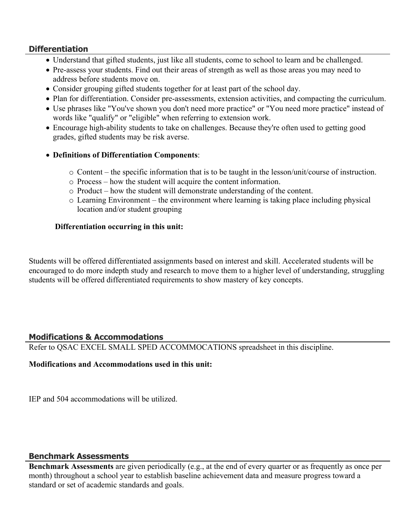#### **Differentiation**

- Understand that gifted students, just like all students, come to school to learn and be challenged.
- Pre-assess your students. Find out their areas of strength as well as those areas you may need to address before students move on.
- Consider grouping gifted students together for at least part of the school day.
- Plan for differentiation. Consider pre-assessments, extension activities, and compacting the curriculum.
- Use phrases like "You've shown you don't need more practice" or "You need more practice" instead of words like "qualify" or "eligible" when referring to extension work.
- Encourage high-ability students to take on challenges. Because they're often used to getting good grades, gifted students may be risk averse.
- **Definitions of Differentiation Components**:
	- o Content the specific information that is to be taught in the lesson/unit/course of instruction.
	- o Process how the student will acquire the content information.
	- o Product how the student will demonstrate understanding of the content.
	- o Learning Environment the environment where learning is taking place including physical location and/or student grouping

#### **Differentiation occurring in this unit:**

Students will be offered differentiated assignments based on interest and skill. Accelerated students will be encouraged to do more indepth study and research to move them to a higher level of understanding, struggling students will be offered differentiated requirements to show mastery of key concepts.

#### **Modifications & Accommodations**

Refer to QSAC EXCEL SMALL SPED ACCOMMOCATIONS spreadsheet in this discipline.

#### **Modifications and Accommodations used in this unit:**

IEP and 504 accommodations will be utilized.

#### **Benchmark Assessments**

**Benchmark Assessments** are given periodically (e.g., at the end of every quarter or as frequently as once per month) throughout a school year to establish baseline achievement data and measure progress toward a standard or set of academic standards and goals.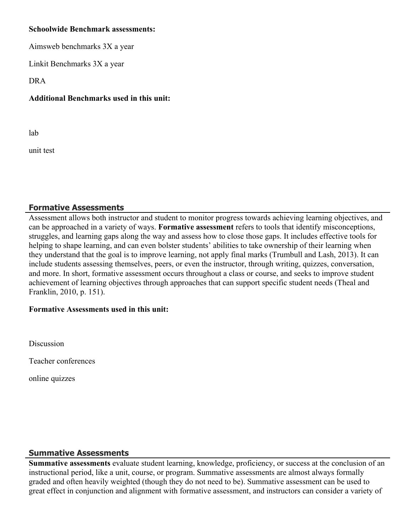#### **Schoolwide Benchmark assessments:**

Aimsweb benchmarks 3X a year

Linkit Benchmarks 3X a year

DRA

# **Additional Benchmarks used in this unit:**

lab

unit test

# **Formative Assessments**

Assessment allows both instructor and student to monitor progress towards achieving learning objectives, and can be approached in a variety of ways. **Formative assessment** refers to tools that identify misconceptions, struggles, and learning gaps along the way and assess how to close those gaps. It includes effective tools for helping to shape learning, and can even bolster students' abilities to take ownership of their learning when they understand that the goal is to improve learning, not apply final marks (Trumbull and Lash, 2013). It can include students assessing themselves, peers, or even the instructor, through writing, quizzes, conversation, and more. In short, formative assessment occurs throughout a class or course, and seeks to improve student achievement of learning objectives through approaches that can support specific student needs (Theal and Franklin, 2010, p. 151).

## **Formative Assessments used in this unit:**

Discussion

Teacher conferences

online quizzes

# **Summative Assessments**

**Summative assessments** evaluate student learning, knowledge, proficiency, or success at the conclusion of an instructional period, like a unit, course, or program. Summative assessments are almost always formally graded and often heavily weighted (though they do not need to be). Summative assessment can be used to great effect in conjunction and alignment with formative assessment, and instructors can consider a variety of